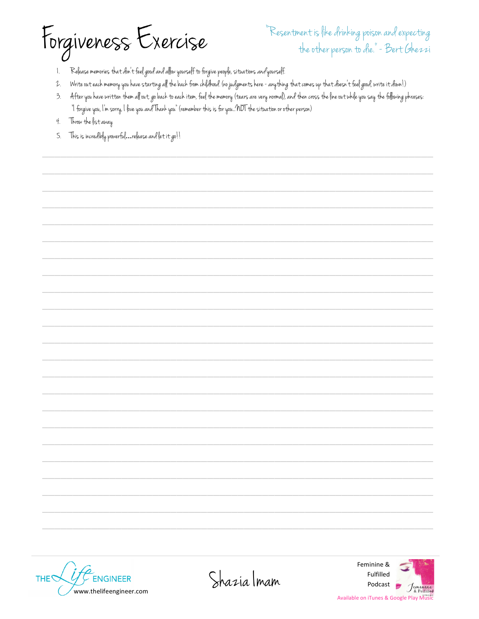## Forgiveness Exercise

"Resentment is fike drinking poison and expecting the other person to die." - Bert Ghezzi

- Release memories that don't feel good and allow yourself to forgive people, situations and yourself.  $\mathbb{L}$
- Write out each memory you have starting all the back from childhood. (no judgments here anything that comes up that doesn't feel good, write it down!)  $\iota$
- After you have written them all out, go back to each item, feel the memory (tears are very normal), and then cross the line out while you say the following phrases:  $3.5$ "I forgive you, I'm sorry, I fove you and Thank you" (remember this is for you... NOT the situation or other person)
- Throw the list away  $4.$
- 5. This is incredibly powerful... release and let it go!!

**THE<sup>S</sup> FNGINFFR** www.thelifeengineer.com